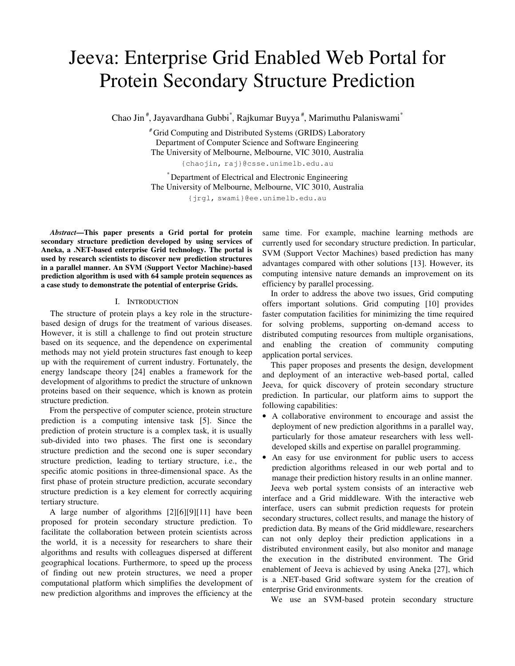# Jeeva: Enterprise Grid Enabled Web Portal for Protein Secondary Structure Prediction

Chao Jin<sup>#</sup>, Jayavardhana Gubbi<sup>\*</sup>, Rajkumar Buyya<sup>#</sup>, Marimuthu Palaniswami<sup>\*</sup>

*#* Grid Computing and Distributed Systems (GRIDS) Laboratory Department of Computer Science and Software Engineering The University of Melbourne, Melbourne, VIC 3010, Australia

{chaojin, raj}@csse.unimelb.edu.au

*\** Department of Electrical and Electronic Engineering The University of Melbourne, Melbourne, VIC 3010, Australia

{jrgl, swami}@ee.unimelb.edu.au

*Abstract***—This paper presents a Grid portal for protein secondary structure prediction developed by using services of Aneka, a .NET-based enterprise Grid technology. The portal is used by research scientists to discover new prediction structures in a parallel manner. An SVM (Support Vector Machine)-based prediction algorithm is used with 64 sample protein sequences as a case study to demonstrate the potential of enterprise Grids.** 

#### I. INTRODUCTION

The structure of protein plays a key role in the structurebased design of drugs for the treatment of various diseases. However, it is still a challenge to find out protein structure based on its sequence, and the dependence on experimental methods may not yield protein structures fast enough to keep up with the requirement of current industry. Fortunately, the energy landscape theory [24] enables a framework for the development of algorithms to predict the structure of unknown proteins based on their sequence, which is known as protein structure prediction.

From the perspective of computer science, protein structure prediction is a computing intensive task [5]. Since the prediction of protein structure is a complex task, it is usually sub-divided into two phases. The first one is secondary structure prediction and the second one is super secondary structure prediction, leading to tertiary structure, i.e., the specific atomic positions in three-dimensional space. As the first phase of protein structure prediction, accurate secondary structure prediction is a key element for correctly acquiring tertiary structure.

A large number of algorithms [2][6][9][11] have been proposed for protein secondary structure prediction. To facilitate the collaboration between protein scientists across the world, it is a necessity for researchers to share their algorithms and results with colleagues dispersed at different geographical locations. Furthermore, to speed up the process of finding out new protein structures, we need a proper computational platform which simplifies the development of new prediction algorithms and improves the efficiency at the

same time. For example, machine learning methods are currently used for secondary structure prediction. In particular, SVM (Support Vector Machines) based prediction has many advantages compared with other solutions [13]. However, its computing intensive nature demands an improvement on its efficiency by parallel processing.

In order to address the above two issues, Grid computing offers important solutions. Grid computing [10] provides faster computation facilities for minimizing the time required for solving problems, supporting on-demand access to distributed computing resources from multiple organisations, and enabling the creation of community computing application portal services.

This paper proposes and presents the design, development and deployment of an interactive web-based portal, called Jeeva, for quick discovery of protein secondary structure prediction. In particular, our platform aims to support the following capabilities:

- A collaborative environment to encourage and assist the deployment of new prediction algorithms in a parallel way, particularly for those amateur researchers with less welldeveloped skills and expertise on parallel programming.
- An easy for use environment for public users to access prediction algorithms released in our web portal and to manage their prediction history results in an online manner.

Jeeva web portal system consists of an interactive web interface and a Grid middleware. With the interactive web interface, users can submit prediction requests for protein secondary structures, collect results, and manage the history of prediction data. By means of the Grid middleware, researchers can not only deploy their prediction applications in a distributed environment easily, but also monitor and manage the execution in the distributed environment. The Grid enablement of Jeeva is achieved by using Aneka [27], which is a .NET-based Grid software system for the creation of enterprise Grid environments.

We use an SVM-based protein secondary structure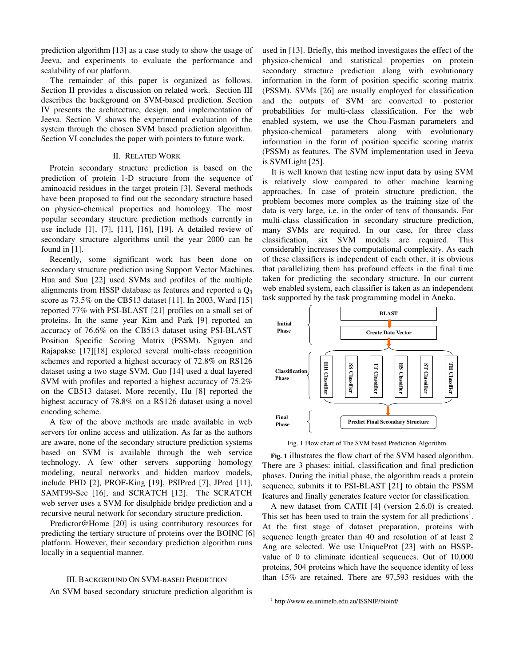prediction algorithm [13] as a case study to show the usage of Jeeva, and experiments to evaluate the performance and scalability of our platform.

The remainder of this paper is organized as follows. Section II provides a discussion on related work. Section III describes the background on SVM-based prediction. Section IV presents the architecture, design, and implementation of Jeeva. Section V shows the experimental evaluation of the system through the chosen SVM based prediction algorithm. Section VI concludes the paper with pointers to future work.

# II. RELATED WORK

Protein secondary structure prediction is based on the prediction of protein 1-D structure from the sequence of aminoacid residues in the target protein [3]. Several methods have been proposed to find out the secondary structure based on physico-chemical properties and homology. The most popular secondary structure prediction methods currently in use include [1], [7], [11], [16], [19]. A detailed review of secondary structure algorithms until the year 2000 can be found in [1].

Recently, some significant work has been done on secondary structure prediction using Support Vector Machines. Hua and Sun [22] used SVMs and profiles of the multiple alignments from HSSP database as features and reported a  $Q_3$ score as 73.5% on the CB513 dataset [11]. In 2003, Ward [15] reported 77% with PSI-BLAST [21] profiles on a small set of proteins. In the same year Kim and Park [9] reported an accuracy of 76.6% on the CB513 dataset using PSI-BLAST Position Specific Scoring Matrix (PSSM). Nguyen and Rajapakse [17][18] explored several multi-class recognition schemes and reported a highest accuracy of 72.8% on RS126 dataset using a two stage SVM. Guo [14] used a dual layered SVM with profiles and reported a highest accuracy of 75.2% on the CB513 dataset. More recently, Hu [8] reported the highest accuracy of 78.8% on a RS126 dataset using a novel encoding scheme.

A few of the above methods are made available in web servers for online access and utilization. As far as the authors are aware, none of the secondary structure prediction systems based on SVM is available through the web service technology. A few other servers supporting homology modeling, neural networks and hidden markov models, include PHD [2], PROF-King [19], PSIPred [7], JPred [11], SAMT99-Sec [16], and SCRATCH [12]. The SCRATCH web server uses a SVM for disulphide bridge prediction and a recursive neural network for secondary structure prediction.

Predictor@Home [20] is using contributory resources for predicting the tertiary structure of proteins over the BOINC [6] platform. However, their secondary prediction algorithm runs locally in a sequential manner.

#### III. BACKGROUND ON SVM-BASED PREDICTION

An SVM based secondary structure prediction algorithm is

used in [13]. Briefly, this method investigates the effect of the physico-chemical and statistical properties on protein secondary structure prediction along with evolutionary information in the form of position specific scoring matrix (PSSM). SVMs [26] are usually employed for classification and the outputs of SVM are converted to posterior probabilities for multi-class classification. For the web enabled system, we use the Chou-Fasman parameters and physico-chemical parameters along with evolutionary information in the form of position specific scoring matrix (PSSM) as features. The SVM implementation used in Jeeva is SVMLight [25].

It is well known that testing new input data by using SVM is relatively slow compared to other machine learning approaches. In case of protein structure prediction, the problem becomes more complex as the training size of the data is very large, i.e. in the order of tens of thousands. For multi-class classification in secondary structure prediction, many SVMs are required. In our case, for three class classification, six SVM models are required. This considerably increases the computational complexity. As each of these classifiers is independent of each other, it is obvious that parallelizing them has profound effects in the final time taken for predicting the secondary structure. In our current web enabled system, each classifier is taken as an independent task supported by the task programming model in Aneka.



Fig. 1 Flow chart of The SVM based Prediction Algorithm.

**Fig. 1** illustrates the flow chart of the SVM based algorithm. There are 3 phases: initial, classification and final prediction phases. During the initial phase, the algorithm reads a protein sequence, submits it to PSI-BLAST [21] to obtain the PSSM features and finally generates feature vector for classification.

A new dataset from CATH [4] (version 2.6.0) is created. This set has been used to train the system for all predictions<sup>1</sup>. At the first stage of dataset preparation, proteins with sequence length greater than 40 and resolution of at least 2 Ang are selected. We use UniqueProt [23] with an HSSPvalue of 0 to eliminate identical sequences. Out of 10,000 proteins, 504 proteins which have the sequence identity of less than 15% are retained. There are 97,593 residues with the

-

<sup>1</sup> http://www.ee.unimelb.edu.au/ISSNIP/bioinf/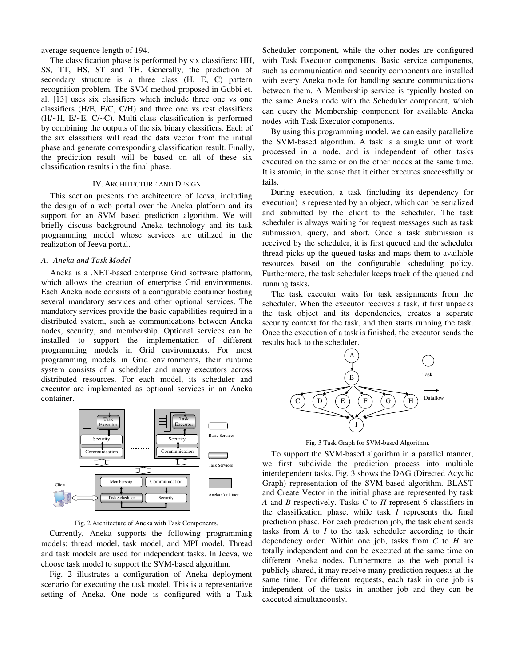average sequence length of 194.

The classification phase is performed by six classifiers: HH, SS, TT, HS, ST and TH. Generally, the prediction of secondary structure is a three class (H, E, C) pattern recognition problem. The SVM method proposed in Gubbi et. al. [13] uses six classifiers which include three one vs one classifiers (H/E, E/C, C/H) and three one vs rest classifiers (H/~H, E/~E, C/~C). Multi-class classification is performed by combining the outputs of the six binary classifiers. Each of the six classifiers will read the data vector from the initial phase and generate corresponding classification result. Finally, the prediction result will be based on all of these six classification results in the final phase.

## IV.ARCHITECTURE AND DESIGN

This section presents the architecture of Jeeva, including the design of a web portal over the Aneka platform and its support for an SVM based prediction algorithm. We will briefly discuss background Aneka technology and its task programming model whose services are utilized in the realization of Jeeva portal.

# *A. Aneka and Task Model*

Aneka is a .NET-based enterprise Grid software platform, which allows the creation of enterprise Grid environments. Each Aneka node consists of a configurable container hosting several mandatory services and other optional services. The mandatory services provide the basic capabilities required in a distributed system, such as communications between Aneka nodes, security, and membership. Optional services can be installed to support the implementation of different programming models in Grid environments. For most programming models in Grid environments, their runtime system consists of a scheduler and many executors across distributed resources. For each model, its scheduler and executor are implemented as optional services in an Aneka container.



Fig. 2 Architecture of Aneka with Task Components.

Currently, Aneka supports the following programming models: thread model, task model, and MPI model. Thread and task models are used for independent tasks. In Jeeva, we choose task model to support the SVM-based algorithm.

Fig. 2 illustrates a configuration of Aneka deployment scenario for executing the task model. This is a representative setting of Aneka. One node is configured with a Task Scheduler component, while the other nodes are configured with Task Executor components. Basic service components, such as communication and security components are installed with every Aneka node for handling secure communications between them. A Membership service is typically hosted on the same Aneka node with the Scheduler component, which can query the Membership component for available Aneka nodes with Task Executor components.

By using this programming model, we can easily parallelize the SVM-based algorithm. A task is a single unit of work processed in a node, and is independent of other tasks executed on the same or on the other nodes at the same time. It is atomic, in the sense that it either executes successfully or fails.

During execution, a task (including its dependency for execution) is represented by an object, which can be serialized and submitted by the client to the scheduler. The task scheduler is always waiting for request messages such as task submission, query, and abort. Once a task submission is received by the scheduler, it is first queued and the scheduler thread picks up the queued tasks and maps them to available resources based on the configurable scheduling policy. Furthermore, the task scheduler keeps track of the queued and running tasks.

The task executor waits for task assignments from the scheduler. When the executor receives a task, it first unpacks the task object and its dependencies, creates a separate security context for the task, and then starts running the task. Once the execution of a task is finished, the executor sends the results back to the scheduler.





To support the SVM-based algorithm in a parallel manner, we first subdivide the prediction process into multiple interdependent tasks. Fig. 3 shows the DAG (Directed Acyclic Graph) representation of the SVM-based algorithm. BLAST and Create Vector in the initial phase are represented by task *A* and *B* respectively. Tasks *C* to *H* represent 6 classifiers in the classification phase, while task *I* represents the final prediction phase. For each prediction job, the task client sends tasks from *A* to *I* to the task scheduler according to their dependency order. Within one job, tasks from *C* to *H* are totally independent and can be executed at the same time on different Aneka nodes. Furthermore, as the web portal is publicly shared, it may receive many prediction requests at the same time. For different requests, each task in one job is independent of the tasks in another job and they can be executed simultaneously.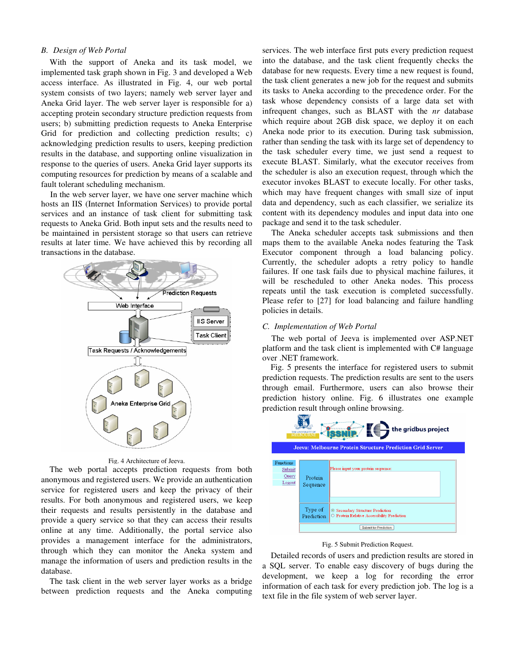# *B. Design of Web Portal*

With the support of Aneka and its task model, we implemented task graph shown in Fig. 3 and developed a Web access interface. As illustrated in Fig. 4, our web portal system consists of two layers; namely web server layer and Aneka Grid layer. The web server layer is responsible for a) accepting protein secondary structure prediction requests from users; b) submitting prediction requests to Aneka Enterprise Grid for prediction and collecting prediction results; c) acknowledging prediction results to users, keeping prediction results in the database, and supporting online visualization in response to the queries of users. Aneka Grid layer supports its computing resources for prediction by means of a scalable and fault tolerant scheduling mechanism.

In the web server layer, we have one server machine which hosts an IIS (Internet Information Services) to provide portal services and an instance of task client for submitting task requests to Aneka Grid. Both input sets and the results need to be maintained in persistent storage so that users can retrieve results at later time. We have achieved this by recording all transactions in the database.



#### Fig. 4 Architecture of Jeeva.

The web portal accepts prediction requests from both anonymous and registered users. We provide an authentication service for registered users and keep the privacy of their results. For both anonymous and registered users, we keep their requests and results persistently in the database and provide a query service so that they can access their results online at any time. Additionally, the portal service also provides a management interface for the administrators, through which they can monitor the Aneka system and manage the information of users and prediction results in the database.

The task client in the web server layer works as a bridge between prediction requests and the Aneka computing

services. The web interface first puts every prediction request into the database, and the task client frequently checks the database for new requests. Every time a new request is found, the task client generates a new job for the request and submits its tasks to Aneka according to the precedence order. For the task whose dependency consists of a large data set with infrequent changes, such as BLAST with the *nr* database which require about 2GB disk space, we deploy it on each Aneka node prior to its execution. During task submission, rather than sending the task with its large set of dependency to the task scheduler every time, we just send a request to execute BLAST. Similarly, what the executor receives from the scheduler is also an execution request, through which the executor invokes BLAST to execute locally. For other tasks, which may have frequent changes with small size of input data and dependency, such as each classifier, we serialize its content with its dependency modules and input data into one package and send it to the task scheduler.

The Aneka scheduler accepts task submissions and then maps them to the available Aneka nodes featuring the Task Executor component through a load balancing policy. Currently, the scheduler adopts a retry policy to handle failures. If one task fails due to physical machine failures, it will be rescheduled to other Aneka nodes. This process repeats until the task execution is completed successfully. Please refer to [27] for load balancing and failure handling policies in details.

### *C. Implementation of Web Portal*

The web portal of Jeeva is implemented over ASP.NET platform and the task client is implemented with C# language over .NET framework.

Fig. 5 presents the interface for registered users to submit prediction requests. The prediction results are sent to the users through email. Furthermore, users can also browse their prediction history online. Fig. 6 illustrates one example prediction result through online browsing.



# Fig. 5 Submit Prediction Request.

Detailed records of users and prediction results are stored in a SQL server. To enable easy discovery of bugs during the development, we keep a log for recording the error information of each task for every prediction job. The log is a text file in the file system of web server layer.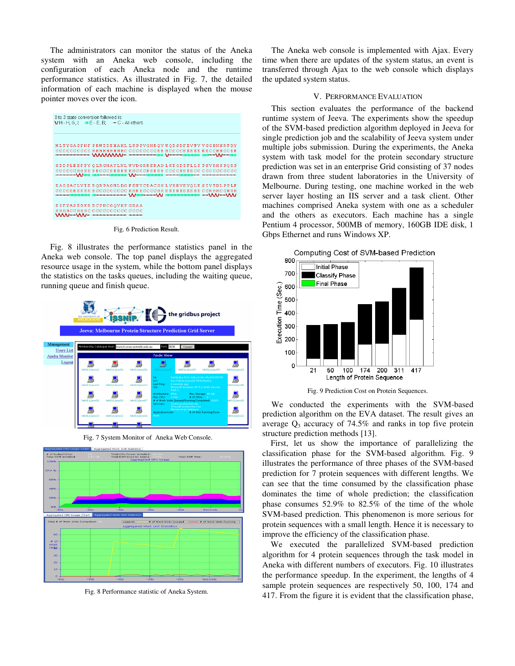The administrators can monitor the status of the Aneka system with an Aneka web console, including the configuration of each Aneka node and the runtime performance statistics. As illustrated in Fig. 7, the detailed information of each machine is displayed when the mouse pointer moves over the icon.

| 8 to 3 state conversion followed is:<br>$VH - H$ . G. $t = E - E$ . B: $E = C - A$ ll others |
|----------------------------------------------------------------------------------------------|
| MLTYGA PFNF PRWIDEHAHL LKPPVGNROV WODSDFIVTV VGGPNHRTDY                                      |
|                                                                                              |
| HDD PLEEFFY OLRGNAYLNL WVDGRRERAD LKEGDIFLLP PHVRHSPORP                                      |
| <b>The Common Common</b>                                                                     |
| EAGSACLVIE RORPAGMLDG FEWYCDACGH LVHRVEVOLK SIVTDLPPLF                                       |
| $M = M + M$                                                                                  |
| ESFYASEDKR RCPHCGQVHP GRAA<br>ннннесннне сесессессе сесе                                     |
| $\Lambda \Lambda \Lambda \Lambda \Lambda - \Lambda \Lambda \Lambda -$                        |

Fig. 6 Prediction Result.

Fig. 8 illustrates the performance statistics panel in the Aneka web console. The top panel displays the aggregated resource usage in the system, while the bottom panel displays the statistics on the tasks queues, including the waiting queue, running queue and finish queue.



Fig. 7 System Monitor of Aneka Web Console.



Fig. 8 Performance statistic of Aneka System.

The Aneka web console is implemented with Ajax. Every time when there are updates of the system status, an event is transferred through Ajax to the web console which displays the updated system status.

# V. PERFORMANCE EVALUATION

This section evaluates the performance of the backend runtime system of Jeeva. The experiments show the speedup of the SVM-based prediction algorithm deployed in Jeeva for single prediction job and the scalability of Jeeva system under multiple jobs submission. During the experiments, the Aneka system with task model for the protein secondary structure prediction was set in an enterprise Grid consisting of 37 nodes drawn from three student laboratories in the University of Melbourne. During testing, one machine worked in the web server layer hosting an IIS server and a task client. Other machines comprised Aneka system with one as a scheduler and the others as executors. Each machine has a single Pentium 4 processor, 500MB of memory, 160GB IDE disk, 1 Gbps Ethernet and runs Windows XP.



Fig. 9 Prediction Cost on Protein Sequences.

We conducted the experiments with the SVM-based prediction algorithm on the EVA dataset. The result gives an average  $Q_3$  accuracy of 74.5% and ranks in top five protein structure prediction methods [13].

First, let us show the importance of parallelizing the classification phase for the SVM-based algorithm. Fig. 9 illustrates the performance of three phases of the SVM-based prediction for 7 protein sequences with different lengths. We can see that the time consumed by the classification phase dominates the time of whole prediction; the classification phase consumes 52.9% to 82.5% of the time of the whole SVM-based prediction. This phenomenon is more serious for protein sequences with a small length. Hence it is necessary to improve the efficiency of the classification phase.

We executed the parallelized SVM-based prediction algorithm for 4 protein sequences through the task model in Aneka with different numbers of executors. Fig. 10 illustrates the performance speedup. In the experiment, the lengths of 4 sample protein sequences are respectively 50, 100, 174 and 417. From the figure it is evident that the classification phase,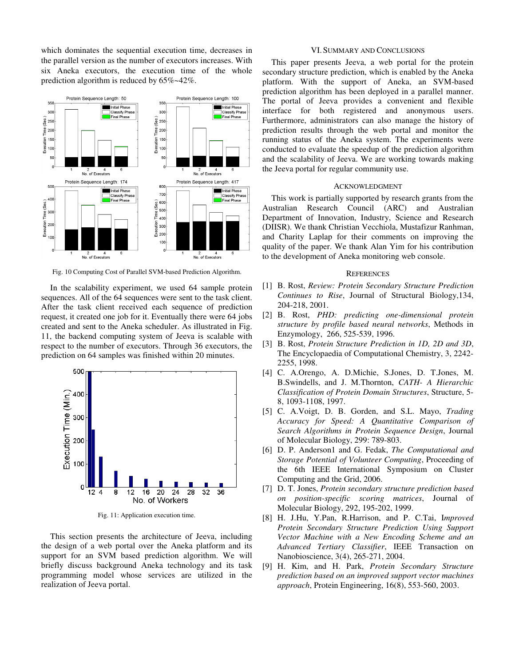which dominates the sequential execution time, decreases in the parallel version as the number of executors increases. With six Aneka executors, the execution time of the whole prediction algorithm is reduced by 65%~42%.



Fig. 10 Computing Cost of Parallel SVM-based Prediction Algorithm.

In the scalability experiment, we used 64 sample protein sequences. All of the 64 sequences were sent to the task client. After the task client received each sequence of prediction request, it created one job for it. Eventually there were 64 jobs created and sent to the Aneka scheduler. As illustrated in Fig. 11, the backend computing system of Jeeva is scalable with respect to the number of executors. Through 36 executors, the prediction on 64 samples was finished within 20 minutes.



Fig. 11: Application execution time.

This section presents the architecture of Jeeva, including the design of a web portal over the Aneka platform and its support for an SVM based prediction algorithm. We will briefly discuss background Aneka technology and its task programming model whose services are utilized in the realization of Jeeva portal.

## VI.SUMMARY AND CONCLUSIONS

This paper presents Jeeva, a web portal for the protein secondary structure prediction, which is enabled by the Aneka platform. With the support of Aneka, an SVM-based prediction algorithm has been deployed in a parallel manner. The portal of Jeeva provides a convenient and flexible interface for both registered and anonymous users. Furthermore, administrators can also manage the history of prediction results through the web portal and monitor the running status of the Aneka system. The experiments were conducted to evaluate the speedup of the prediction algorithm and the scalability of Jeeva. We are working towards making the Jeeva portal for regular community use.

#### ACKNOWLEDGMENT

This work is partially supported by research grants from the Australian Research Council (ARC) and Australian Department of Innovation, Industry, Science and Research (DIISR). We thank Christian Vecchiola, Mustafizur Ranhman, and Charity Laplap for their comments on improving the quality of the paper. We thank Alan Yim for his contribution to the development of Aneka monitoring web console.

# **REFERENCES**

- [1] B. Rost, *Review: Protein Secondary Structure Prediction Continues to Rise*, Journal of Structural Biology,134, 204-218, 2001.
- [2] B. Rost, *PHD: predicting one-dimensional protein structure by profile based neural networks*, Methods in Enzymology, 266, 525-539, 1996.
- [3] B. Rost, *Protein Structure Prediction in 1D, 2D and 3D*, The Encyclopaedia of Computational Chemistry, 3, 2242- 2255, 1998.
- [4] C. A.Orengo, A. D.Michie, S.Jones, D. T.Jones, M. B.Swindells, and J. M.Thornton, *CATH- A Hierarchic Classification of Protein Domain Structures*, Structure, 5- 8, 1093-1108, 1997.
- [5] C. A.Voigt, D. B. Gorden, and S.L. Mayo, *Trading Accuracy for Speed: A Quantitative Comparison of Search Algorithms in Protein Sequence Design*, Journal of Molecular Biology, 299: 789-803.
- [6] D. P. Anderson1 and G. Fedak, *The Computational and Storage Potential of Volunteer Computing*, Proceeding of the 6th IEEE International Symposium on Cluster Computing and the Grid, 2006.
- [7] D. T. Jones, *Protein secondary structure prediction based on position-specific scoring matrices*, Journal of Molecular Biology, 292, 195-202, 1999.
- [8] H. J.Hu, Y.Pan, R.Harrison, and P. C.Tai, I*mproved Protein Secondary Structure Prediction Using Support Vector Machine with a New Encoding Scheme and an Advanced Tertiary Classifier*, IEEE Transaction on Nanobioscience, 3(4), 265-271, 2004.
- [9] H. Kim, and H. Park, *Protein Secondary Structure prediction based on an improved support vector machines approach*, Protein Engineering, 16(8), 553-560, 2003.